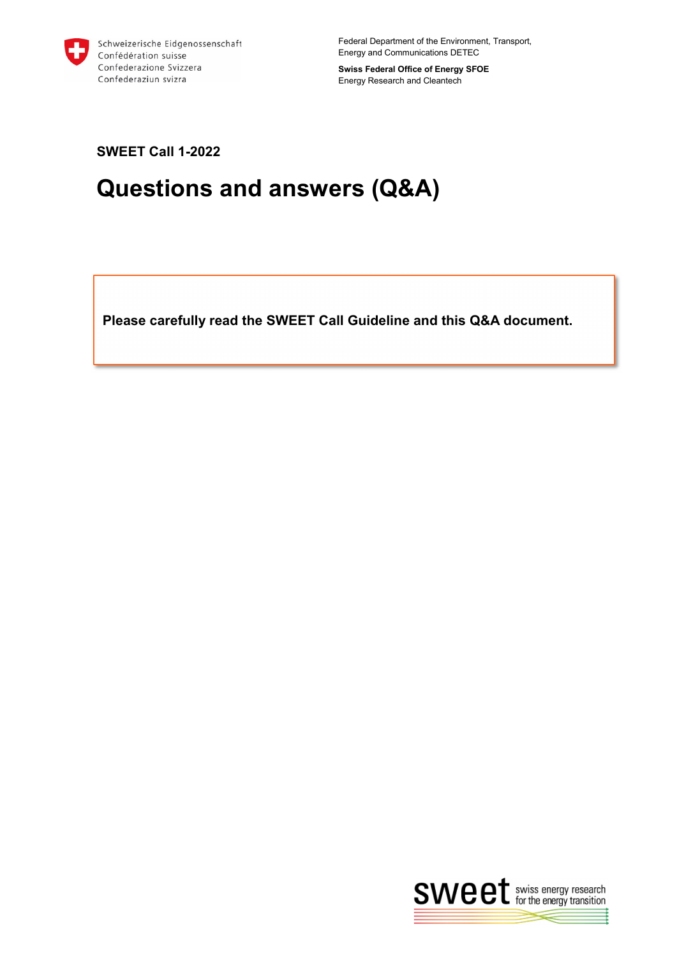

Federal Department of the Environment, Transport, Energy and Communications DETEC

**Swiss Federal Office of Energy SFOE** Energy Research and Cleantech

**SWEET Call 1-2022**

# **Questions and answers (Q&A)**

**Please carefully read the SWEET Call Guideline and this Q&A document.** 

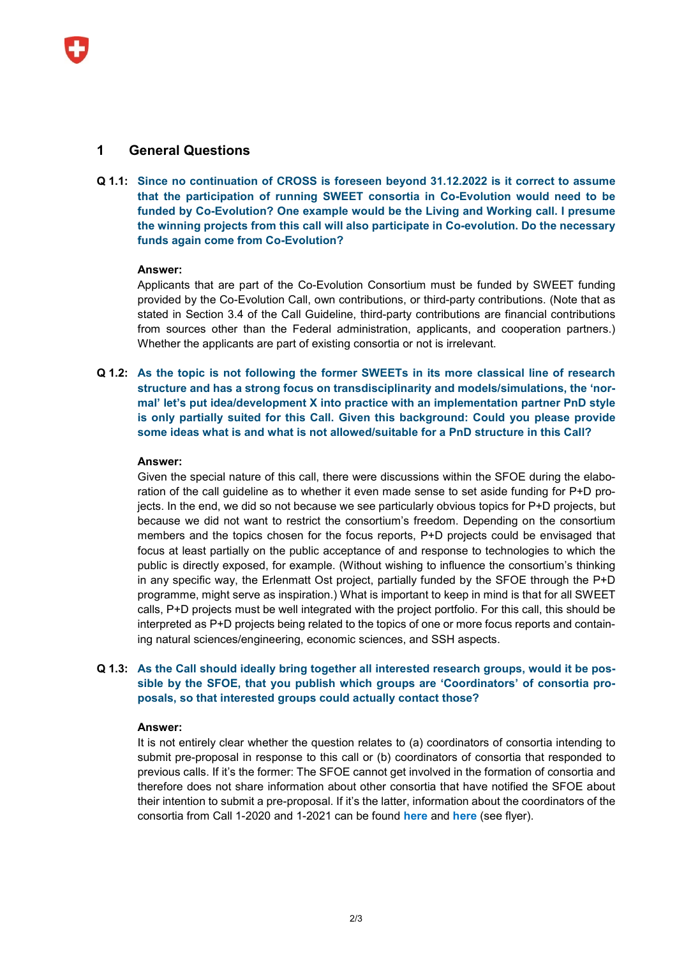# **1 General Questions**

**Q 1.1: Since no continuation of CROSS is foreseen beyond 31.12.2022 is it correct to assume that the participation of running SWEET consortia in Co-Evolution would need to be funded by Co-Evolution? One example would be the Living and Working call. I presume the winning projects from this call will also participate in Co-evolution. Do the necessary funds again come from Co-Evolution?**

## **Answer:**

Applicants that are part of the Co-Evolution Consortium must be funded by SWEET funding provided by the Co-Evolution Call, own contributions, or third-party contributions. (Note that as stated in Section 3.4 of the Call Guideline, third-party contributions are financial contributions from sources other than the Federal administration, applicants, and cooperation partners.) Whether the applicants are part of existing consortia or not is irrelevant.

**Q 1.2: As the topic is not following the former SWEETs in its more classical line of research structure and has a strong focus on transdisciplinarity and models/simulations, the 'normal' let's put idea/development X into practice with an implementation partner PnD style is only partially suited for this Call. Given this background: Could you please provide some ideas what is and what is not allowed/suitable for a PnD structure in this Call?**

## **Answer:**

Given the special nature of this call, there were discussions within the SFOE during the elaboration of the call guideline as to whether it even made sense to set aside funding for P+D projects. In the end, we did so not because we see particularly obvious topics for P+D projects, but because we did not want to restrict the consortium's freedom. Depending on the consortium members and the topics chosen for the focus reports, P+D projects could be envisaged that focus at least partially on the public acceptance of and response to technologies to which the public is directly exposed, for example. (Without wishing to influence the consortium's thinking in any specific way, the Erlenmatt Ost project, partially funded by the SFOE through the P+D programme, might serve as inspiration.) What is important to keep in mind is that for all SWEET calls, P+D projects must be well integrated with the project portfolio. For this call, this should be interpreted as P+D projects being related to the topics of one or more focus reports and containing natural sciences/engineering, economic sciences, and SSH aspects.

## **Q 1.3: As the Call should ideally bring together all interested research groups, would it be possible by the SFOE, that you publish which groups are 'Coordinators' of consortia proposals, so that interested groups could actually contact those?**

#### **Answer:**

It is not entirely clear whether the question relates to (a) coordinators of consortia intending to submit pre-proposal in response to this call or (b) coordinators of consortia that responded to previous calls. If it's the former: The SFOE cannot get involved in the formation of consortia and therefore does not share information about other consortia that have notified the SFOE about their intention to submit a pre-proposal. If it's the latter, information about the coordinators of the consortia from Call 1-2020 and 1-2021 can be found **[here](https://www.bfe.admin.ch/bfe/de/home/forschung-und-cleantech/foerderprogramm-sweet/ueberblick-ausschreibungen/sweet-integration-erneuerbare-energien.html)** and **[here](https://www.bfe.admin.ch/bfe/en/home/research-and-cleantech/funding-program-sweet/news/sweet-konferenz.html)** (see flyer).